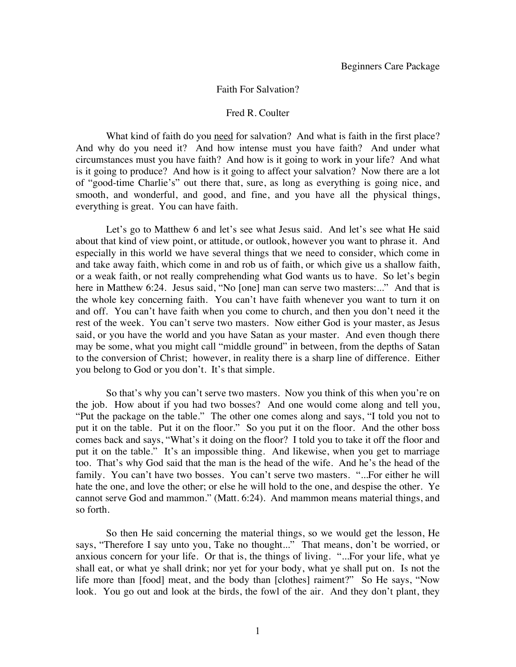## Faith For Salvation?

## Fred R. Coulter

What kind of faith do you need for salvation? And what is faith in the first place? And why do you need it? And how intense must you have faith? And under what circumstances must you have faith? And how is it going to work in your life? And what is it going to produce? And how is it going to affect your salvation? Now there are a lot of "good-time Charlie's" out there that, sure, as long as everything is going nice, and smooth, and wonderful, and good, and fine, and you have all the physical things, everything is great. You can have faith.

Let's go to Matthew 6 and let's see what Jesus said. And let's see what He said about that kind of view point, or attitude, or outlook, however you want to phrase it. And especially in this world we have several things that we need to consider, which come in and take away faith, which come in and rob us of faith, or which give us a shallow faith, or a weak faith, or not really comprehending what God wants us to have. So let's begin here in Matthew 6:24. Jesus said, "No [one] man can serve two masters:..." And that is the whole key concerning faith. You can't have faith whenever you want to turn it on and off. You can't have faith when you come to church, and then you don't need it the rest of the week. You can't serve two masters. Now either God is your master, as Jesus said, or you have the world and you have Satan as your master. And even though there may be some, what you might call "middle ground" in between, from the depths of Satan to the conversion of Christ; however, in reality there is a sharp line of difference. Either you belong to God or you don't. It's that simple.

So that's why you can't serve two masters. Now you think of this when you're on the job. How about if you had two bosses? And one would come along and tell you, "Put the package on the table." The other one comes along and says, "I told you not to put it on the table. Put it on the floor." So you put it on the floor. And the other boss comes back and says, "What's it doing on the floor? I told you to take it off the floor and put it on the table." It's an impossible thing. And likewise, when you get to marriage too. That's why God said that the man is the head of the wife. And he's the head of the family. You can't have two bosses. You can't serve two masters. "...For either he will hate the one, and love the other; or else he will hold to the one, and despise the other. Ye cannot serve God and mammon." (Matt. 6:24). And mammon means material things, and so forth.

So then He said concerning the material things, so we would get the lesson, He says, "Therefore I say unto you, Take no thought..." That means, don't be worried, or anxious concern for your life. Or that is, the things of living. "...For your life, what ye shall eat, or what ye shall drink; nor yet for your body, what ye shall put on. Is not the life more than [food] meat, and the body than [clothes] raiment?" So He says, "Now look. You go out and look at the birds, the fowl of the air. And they don't plant, they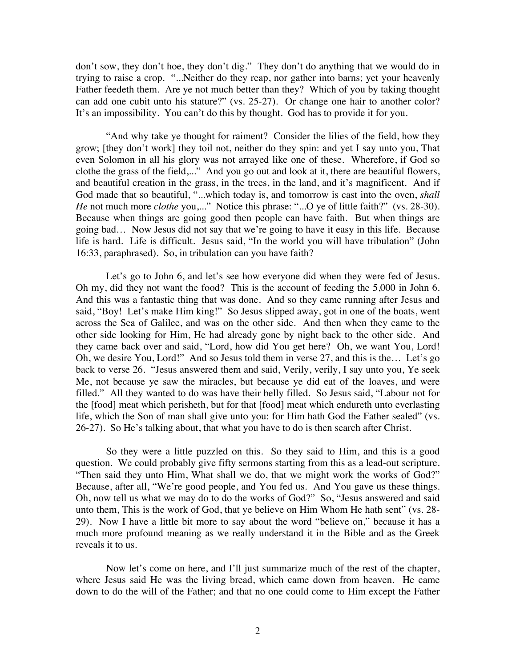don't sow, they don't hoe, they don't dig." They don't do anything that we would do in trying to raise a crop. "...Neither do they reap, nor gather into barns; yet your heavenly Father feedeth them. Are ye not much better than they? Which of you by taking thought can add one cubit unto his stature?" (vs. 25-27). Or change one hair to another color? It's an impossibility. You can't do this by thought. God has to provide it for you.

"And why take ye thought for raiment? Consider the lilies of the field, how they grow; [they don't work] they toil not, neither do they spin: and yet I say unto you, That even Solomon in all his glory was not arrayed like one of these. Wherefore, if God so clothe the grass of the field,..." And you go out and look at it, there are beautiful flowers, and beautiful creation in the grass, in the trees, in the land, and it's magnificent. And if God made that so beautiful, "...which today is, and tomorrow is cast into the oven, *shall He* not much more *clothe* you,..." Notice this phrase: "...O ye of little faith?" (vs. 28-30). Because when things are going good then people can have faith. But when things are going bad… Now Jesus did not say that we're going to have it easy in this life. Because life is hard. Life is difficult. Jesus said, "In the world you will have tribulation" (John 16:33, paraphrased). So, in tribulation can you have faith?

Let's go to John 6, and let's see how everyone did when they were fed of Jesus. Oh my, did they not want the food? This is the account of feeding the 5,000 in John 6. And this was a fantastic thing that was done. And so they came running after Jesus and said, "Boy! Let's make Him king!" So Jesus slipped away, got in one of the boats, went across the Sea of Galilee, and was on the other side. And then when they came to the other side looking for Him, He had already gone by night back to the other side. And they came back over and said, "Lord, how did You get here? Oh, we want You, Lord! Oh, we desire You, Lord!" And so Jesus told them in verse 27, and this is the… Let's go back to verse 26. "Jesus answered them and said, Verily, verily, I say unto you, Ye seek Me, not because ye saw the miracles, but because ye did eat of the loaves, and were filled." All they wanted to do was have their belly filled. So Jesus said, "Labour not for the [food] meat which perisheth, but for that [food] meat which endureth unto everlasting life, which the Son of man shall give unto you: for Him hath God the Father sealed" (vs. 26-27). So He's talking about, that what you have to do is then search after Christ.

So they were a little puzzled on this. So they said to Him, and this is a good question. We could probably give fifty sermons starting from this as a lead-out scripture. "Then said they unto Him, What shall we do, that we might work the works of God?" Because, after all, "We're good people, and You fed us. And You gave us these things. Oh, now tell us what we may do to do the works of God?" So, "Jesus answered and said unto them, This is the work of God, that ye believe on Him Whom He hath sent" (vs. 28- 29). Now I have a little bit more to say about the word "believe on," because it has a much more profound meaning as we really understand it in the Bible and as the Greek reveals it to us.

Now let's come on here, and I'll just summarize much of the rest of the chapter, where Jesus said He was the living bread, which came down from heaven. He came down to do the will of the Father; and that no one could come to Him except the Father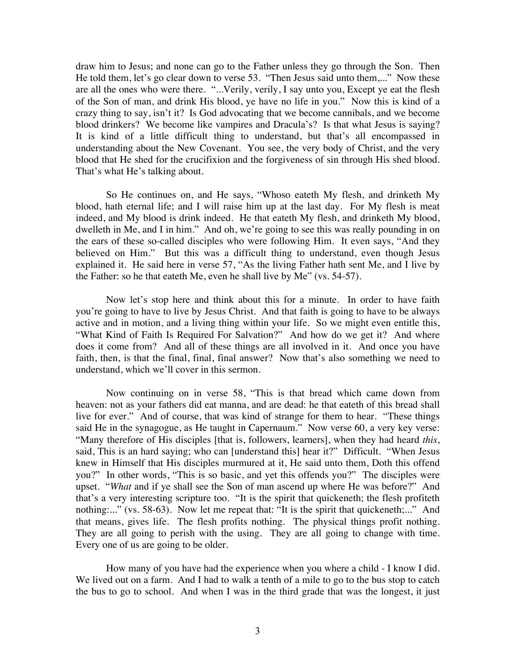draw him to Jesus; and none can go to the Father unless they go through the Son. Then He told them, let's go clear down to verse 53. "Then Jesus said unto them,..." Now these are all the ones who were there. "...Verily, verily, I say unto you, Except ye eat the flesh of the Son of man, and drink His blood, ye have no life in you." Now this is kind of a crazy thing to say, isn't it? Is God advocating that we become cannibals, and we become blood drinkers? We become like vampires and Dracula's? Is that what Jesus is saying? It is kind of a little difficult thing to understand, but that's all encompassed in understanding about the New Covenant. You see, the very body of Christ, and the very blood that He shed for the crucifixion and the forgiveness of sin through His shed blood. That's what He's talking about.

So He continues on, and He says, "Whoso eateth My flesh, and drinketh My blood, hath eternal life; and I will raise him up at the last day. For My flesh is meat indeed, and My blood is drink indeed. He that eateth My flesh, and drinketh My blood, dwelleth in Me, and I in him." And oh, we're going to see this was really pounding in on the ears of these so-called disciples who were following Him. It even says, "And they believed on Him." But this was a difficult thing to understand, even though Jesus explained it. He said here in verse 57, "As the living Father hath sent Me, and I live by the Father: so he that eateth Me, even he shall live by Me" (vs. 54-57).

Now let's stop here and think about this for a minute. In order to have faith you're going to have to live by Jesus Christ. And that faith is going to have to be always active and in motion, and a living thing within your life. So we might even entitle this, "What Kind of Faith Is Required For Salvation?" And how do we get it? And where does it come from? And all of these things are all involved in it. And once you have faith, then, is that the final, final, final answer? Now that's also something we need to understand, which we'll cover in this sermon.

Now continuing on in verse 58, "This is that bread which came down from heaven: not as your fathers did eat manna, and are dead: he that eateth of this bread shall live for ever." And of course, that was kind of strange for them to hear. "These things said He in the synagogue, as He taught in Capernaum." Now verse 60, a very key verse: "Many therefore of His disciples [that is, followers, learners], when they had heard *this*, said, This is an hard saying; who can [understand this] hear it?" Difficult. "When Jesus knew in Himself that His disciples murmured at it, He said unto them, Doth this offend you?" In other words, "This is so basic, and yet this offends you?" The disciples were upset. "*What* and if ye shall see the Son of man ascend up where He was before?" And that's a very interesting scripture too. "It is the spirit that quickeneth; the flesh profiteth nothing:..." (vs. 58-63). Now let me repeat that: "It is the spirit that quickeneth;..." And that means, gives life. The flesh profits nothing. The physical things profit nothing. They are all going to perish with the using. They are all going to change with time. Every one of us are going to be older.

How many of you have had the experience when you where a child - I know I did. We lived out on a farm. And I had to walk a tenth of a mile to go to the bus stop to catch the bus to go to school. And when I was in the third grade that was the longest, it just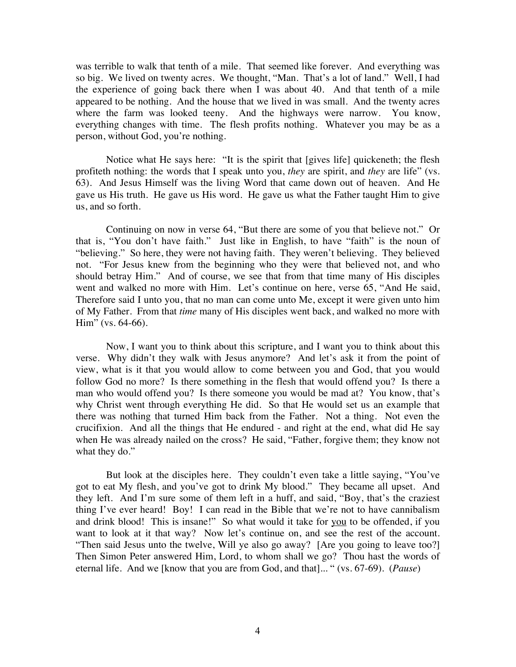was terrible to walk that tenth of a mile. That seemed like forever. And everything was so big. We lived on twenty acres. We thought, "Man. That's a lot of land." Well, I had the experience of going back there when I was about 40. And that tenth of a mile appeared to be nothing. And the house that we lived in was small. And the twenty acres where the farm was looked teeny. And the highways were narrow. You know, everything changes with time. The flesh profits nothing. Whatever you may be as a person, without God, you're nothing.

Notice what He says here: "It is the spirit that [gives life] quickeneth; the flesh profiteth nothing: the words that I speak unto you, *they* are spirit, and *they* are life" (vs. 63). And Jesus Himself was the living Word that came down out of heaven. And He gave us His truth. He gave us His word. He gave us what the Father taught Him to give us, and so forth.

Continuing on now in verse 64, "But there are some of you that believe not." Or that is, "You don't have faith." Just like in English, to have "faith" is the noun of "believing." So here, they were not having faith. They weren't believing. They believed not. "For Jesus knew from the beginning who they were that believed not, and who should betray Him." And of course, we see that from that time many of His disciples went and walked no more with Him. Let's continue on here, verse 65, "And He said, Therefore said I unto you, that no man can come unto Me, except it were given unto him of My Father. From that *time* many of His disciples went back, and walked no more with Him" (vs. 64-66).

Now, I want you to think about this scripture, and I want you to think about this verse. Why didn't they walk with Jesus anymore? And let's ask it from the point of view, what is it that you would allow to come between you and God, that you would follow God no more? Is there something in the flesh that would offend you? Is there a man who would offend you? Is there someone you would be mad at? You know, that's why Christ went through everything He did. So that He would set us an example that there was nothing that turned Him back from the Father. Not a thing. Not even the crucifixion. And all the things that He endured - and right at the end, what did He say when He was already nailed on the cross? He said, "Father, forgive them; they know not what they do."

But look at the disciples here. They couldn't even take a little saying, "You've got to eat My flesh, and you've got to drink My blood." They became all upset. And they left. And I'm sure some of them left in a huff, and said, "Boy, that's the craziest thing I've ever heard! Boy! I can read in the Bible that we're not to have cannibalism and drink blood! This is insane!" So what would it take for you to be offended, if you want to look at it that way? Now let's continue on, and see the rest of the account. "Then said Jesus unto the twelve, Will ye also go away? [Are you going to leave too?] Then Simon Peter answered Him, Lord, to whom shall we go? Thou hast the words of eternal life. And we [know that you are from God, and that]... " (vs. 67-69). (*Pause*)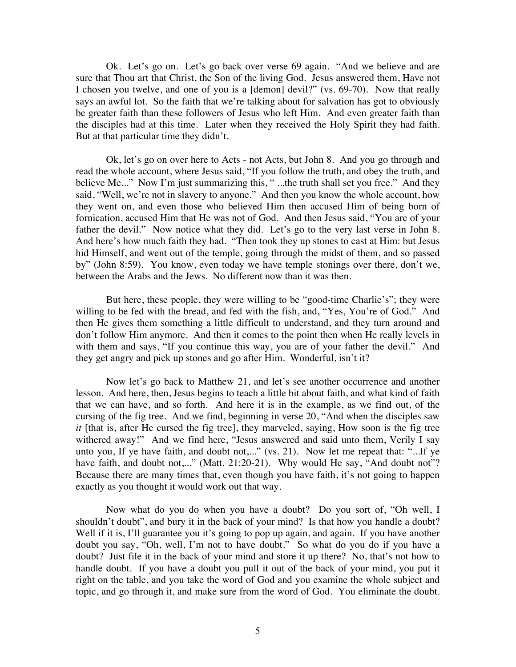Ok. Let's go on. Let's go back over verse 69 again. "And we believe and are sure that Thou art that Christ, the Son of the living God. Jesus answered them, Have not I chosen you twelve, and one of you is a [demon] devil?" (vs. 69-70). Now that really says an awful lot. So the faith that we're talking about for salvation has got to obviously be greater faith than these followers of Jesus who left Him. And even greater faith than the disciples had at this time. Later when they received the Holy Spirit they had faith. But at that particular time they didn't.

Ok, let's go on over here to Acts - not Acts, but John 8. And you go through and read the whole account, where Jesus said, "If you follow the truth, and obey the truth, and believe Me..." Now I'm just summarizing this, " ...the truth shall set you free." And they said, "Well, we're not in slavery to anyone." And then you know the whole account, how they went on, and even those who believed Him then accused Him of being born of fornication, accused Him that He was not of God. And then Jesus said, "You are of your father the devil." Now notice what they did. Let's go to the very last verse in John 8. And here's how much faith they had. "Then took they up stones to cast at Him: but Jesus hid Himself, and went out of the temple, going through the midst of them, and so passed by" (John 8:59). You know, even today we have temple stonings over there, don't we, between the Arabs and the Jews. No different now than it was then.

But here, these people, they were willing to be "good-time Charlie's"; they were willing to be fed with the bread, and fed with the fish, and, "Yes, You're of God." And then He gives them something a little difficult to understand, and they turn around and don't follow Him anymore. And then it comes to the point then when He really levels in with them and says, "If you continue this way, you are of your father the devil." And they get angry and pick up stones and go after Him. Wonderful, isn't it?

Now let's go back to Matthew 21, and let's see another occurrence and another lesson. And here, then, Jesus begins to teach a little bit about faith, and what kind of faith that we can have, and so forth. And here it is in the example, as we find out, of the cursing of the fig tree. And we find, beginning in verse 20, "And when the disciples saw *it* [that is, after He cursed the fig tree], they marveled, saying, How soon is the fig tree withered away!" And we find here, "Jesus answered and said unto them, Verily I say unto you, If ye have faith, and doubt not,..." (vs. 21). Now let me repeat that: "...If ye have faith, and doubt not,..." (Matt. 21:20-21). Why would He say, "And doubt not"? Because there are many times that, even though you have faith, it's not going to happen exactly as you thought it would work out that way.

Now what do you do when you have a doubt? Do you sort of, "Oh well, I shouldn't doubt", and bury it in the back of your mind? Is that how you handle a doubt? Well if it is, I'll guarantee you it's going to pop up again, and again. If you have another doubt you say, "Oh, well, I'm not to have doubt." So what do you do if you have a doubt? Just file it in the back of your mind and store it up there? No, that's not how to handle doubt. If you have a doubt you pull it out of the back of your mind, you put it right on the table, and you take the word of God and you examine the whole subject and topic, and go through it, and make sure from the word of God. You eliminate the doubt.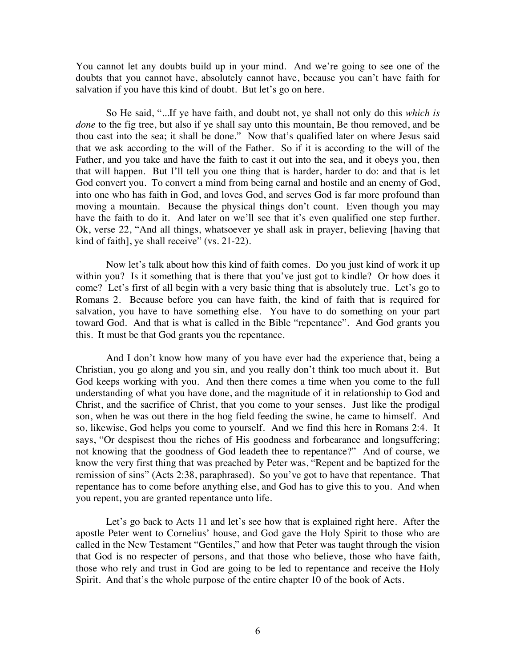You cannot let any doubts build up in your mind. And we're going to see one of the doubts that you cannot have, absolutely cannot have, because you can't have faith for salvation if you have this kind of doubt. But let's go on here.

So He said, "...If ye have faith, and doubt not, ye shall not only do this *which is done* to the fig tree, but also if ye shall say unto this mountain, Be thou removed, and be thou cast into the sea; it shall be done." Now that's qualified later on where Jesus said that we ask according to the will of the Father. So if it is according to the will of the Father, and you take and have the faith to cast it out into the sea, and it obeys you, then that will happen. But I'll tell you one thing that is harder, harder to do: and that is let God convert you. To convert a mind from being carnal and hostile and an enemy of God, into one who has faith in God, and loves God, and serves God is far more profound than moving a mountain. Because the physical things don't count. Even though you may have the faith to do it. And later on we'll see that it's even qualified one step further. Ok, verse 22, "And all things, whatsoever ye shall ask in prayer, believing [having that kind of faith], ye shall receive" (vs. 21-22).

Now let's talk about how this kind of faith comes. Do you just kind of work it up within you? Is it something that is there that you've just got to kindle? Or how does it come? Let's first of all begin with a very basic thing that is absolutely true. Let's go to Romans 2. Because before you can have faith, the kind of faith that is required for salvation, you have to have something else. You have to do something on your part toward God. And that is what is called in the Bible "repentance". And God grants you this. It must be that God grants you the repentance.

And I don't know how many of you have ever had the experience that, being a Christian, you go along and you sin, and you really don't think too much about it. But God keeps working with you. And then there comes a time when you come to the full understanding of what you have done, and the magnitude of it in relationship to God and Christ, and the sacrifice of Christ, that you come to your senses. Just like the prodigal son, when he was out there in the hog field feeding the swine, he came to himself. And so, likewise, God helps you come to yourself. And we find this here in Romans 2:4. It says, "Or despisest thou the riches of His goodness and forbearance and longsuffering; not knowing that the goodness of God leadeth thee to repentance?" And of course, we know the very first thing that was preached by Peter was, "Repent and be baptized for the remission of sins" (Acts 2:38, paraphrased). So you've got to have that repentance. That repentance has to come before anything else, and God has to give this to you. And when you repent, you are granted repentance unto life.

Let's go back to Acts 11 and let's see how that is explained right here. After the apostle Peter went to Cornelius' house, and God gave the Holy Spirit to those who are called in the New Testament "Gentiles," and how that Peter was taught through the vision that God is no respecter of persons, and that those who believe, those who have faith, those who rely and trust in God are going to be led to repentance and receive the Holy Spirit. And that's the whole purpose of the entire chapter 10 of the book of Acts.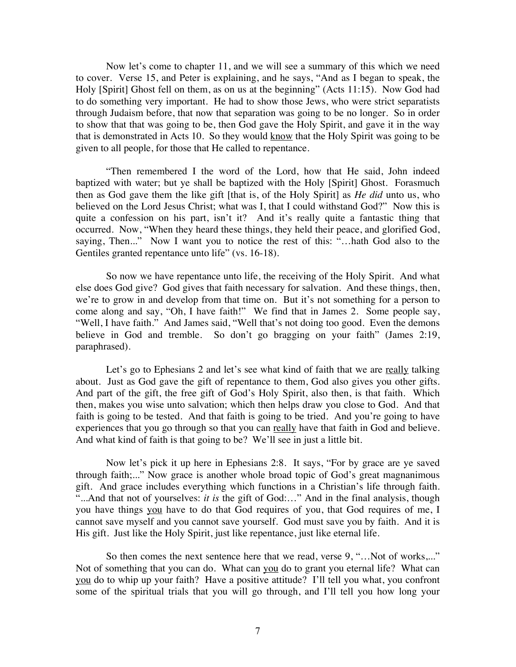Now let's come to chapter 11, and we will see a summary of this which we need to cover. Verse 15, and Peter is explaining, and he says, "And as I began to speak, the Holy [Spirit] Ghost fell on them, as on us at the beginning" (Acts 11:15). Now God had to do something very important. He had to show those Jews, who were strict separatists through Judaism before, that now that separation was going to be no longer. So in order to show that that was going to be, then God gave the Holy Spirit, and gave it in the way that is demonstrated in Acts 10. So they would know that the Holy Spirit was going to be given to all people, for those that He called to repentance.

"Then remembered I the word of the Lord, how that He said, John indeed baptized with water; but ye shall be baptized with the Holy [Spirit] Ghost. Forasmuch then as God gave them the like gift [that is, of the Holy Spirit] as *He did* unto us, who believed on the Lord Jesus Christ; what was I, that I could withstand God?" Now this is quite a confession on his part, isn't it? And it's really quite a fantastic thing that occurred. Now, "When they heard these things, they held their peace, and glorified God, saying, Then..." Now I want you to notice the rest of this: "…hath God also to the Gentiles granted repentance unto life" (vs. 16-18).

So now we have repentance unto life, the receiving of the Holy Spirit. And what else does God give? God gives that faith necessary for salvation. And these things, then, we're to grow in and develop from that time on. But it's not something for a person to come along and say, "Oh, I have faith!" We find that in James 2. Some people say, "Well, I have faith." And James said, "Well that's not doing too good. Even the demons believe in God and tremble. So don't go bragging on your faith" (James 2:19, paraphrased).

Let's go to Ephesians 2 and let's see what kind of faith that we are <u>really</u> talking about. Just as God gave the gift of repentance to them, God also gives you other gifts. And part of the gift, the free gift of God's Holy Spirit, also then, is that faith. Which then, makes you wise unto salvation; which then helps draw you close to God. And that faith is going to be tested. And that faith is going to be tried. And you're going to have experiences that you go through so that you can really have that faith in God and believe. And what kind of faith is that going to be? We'll see in just a little bit.

Now let's pick it up here in Ephesians 2:8. It says, "For by grace are ye saved through faith;..." Now grace is another whole broad topic of God's great magnanimous gift. And grace includes everything which functions in a Christian's life through faith. "...And that not of yourselves: *it is* the gift of God:…" And in the final analysis, though you have things you have to do that God requires of you, that God requires of me, I cannot save myself and you cannot save yourself. God must save you by faith. And it is His gift. Just like the Holy Spirit, just like repentance, just like eternal life.

So then comes the next sentence here that we read, verse 9, "...Not of works,..." Not of something that you can do. What can you do to grant you eternal life? What can you do to whip up your faith? Have a positive attitude? I'll tell you what, you confront some of the spiritual trials that you will go through, and I'll tell you how long your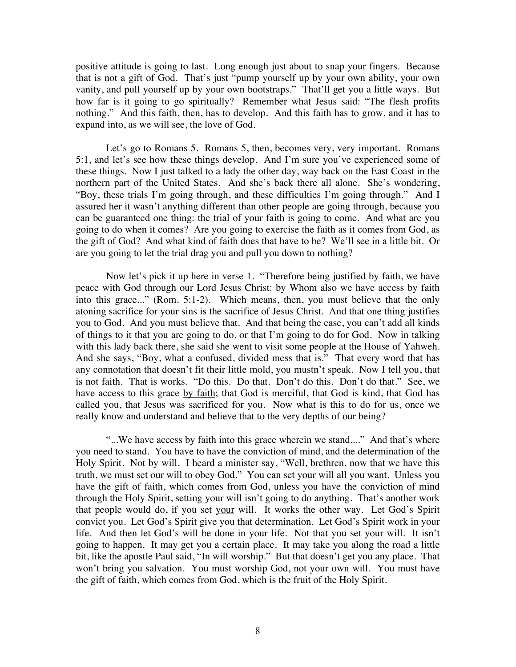positive attitude is going to last. Long enough just about to snap your fingers. Because that is not a gift of God. That's just "pump yourself up by your own ability, your own vanity, and pull yourself up by your own bootstraps." That'll get you a little ways. But how far is it going to go spiritually? Remember what Jesus said: "The flesh profits nothing." And this faith, then, has to develop. And this faith has to grow, and it has to expand into, as we will see, the love of God.

Let's go to Romans 5. Romans 5, then, becomes very, very important. Romans 5:1, and let's see how these things develop. And I'm sure you've experienced some of these things. Now I just talked to a lady the other day, way back on the East Coast in the northern part of the United States. And she's back there all alone. She's wondering, "Boy, these trials I'm going through, and these difficulties I'm going through." And I assured her it wasn't anything different than other people are going through, because you can be guaranteed one thing: the trial of your faith is going to come. And what are you going to do when it comes? Are you going to exercise the faith as it comes from God, as the gift of God? And what kind of faith does that have to be? We'll see in a little bit. Or are you going to let the trial drag you and pull you down to nothing?

Now let's pick it up here in verse 1. "Therefore being justified by faith, we have peace with God through our Lord Jesus Christ: by Whom also we have access by faith into this grace..." (Rom. 5:1-2). Which means, then, you must believe that the only atoning sacrifice for your sins is the sacrifice of Jesus Christ. And that one thing justifies you to God. And you must believe that. And that being the case, you can't add all kinds of things to it that you are going to do, or that I'm going to do for God. Now in talking with this lady back there, she said she went to visit some people at the House of Yahweh. And she says, "Boy, what a confused, divided mess that is." That every word that has any connotation that doesn't fit their little mold, you mustn't speak. Now I tell you, that is not faith. That is works. "Do this. Do that. Don't do this. Don't do that." See, we have access to this grace by faith; that God is merciful, that God is kind, that God has called you, that Jesus was sacrificed for you. Now what is this to do for us, once we really know and understand and believe that to the very depths of our being?

"...We have access by faith into this grace wherein we stand,..." And that's where you need to stand. You have to have the conviction of mind, and the determination of the Holy Spirit. Not by will. I heard a minister say, "Well, brethren, now that we have this truth, we must set our will to obey God." You can set your will all you want. Unless you have the gift of faith, which comes from God, unless you have the conviction of mind through the Holy Spirit, setting your will isn't going to do anything. That's another work that people would do, if you set your will. It works the other way. Let God's Spirit convict you. Let God's Spirit give you that determination. Let God's Spirit work in your life. And then let God's will be done in your life. Not that you set your will. It isn't going to happen. It may get you a certain place. It may take you along the road a little bit, like the apostle Paul said, "In will worship." But that doesn't get you any place. That won't bring you salvation. You must worship God, not your own will. You must have the gift of faith, which comes from God, which is the fruit of the Holy Spirit.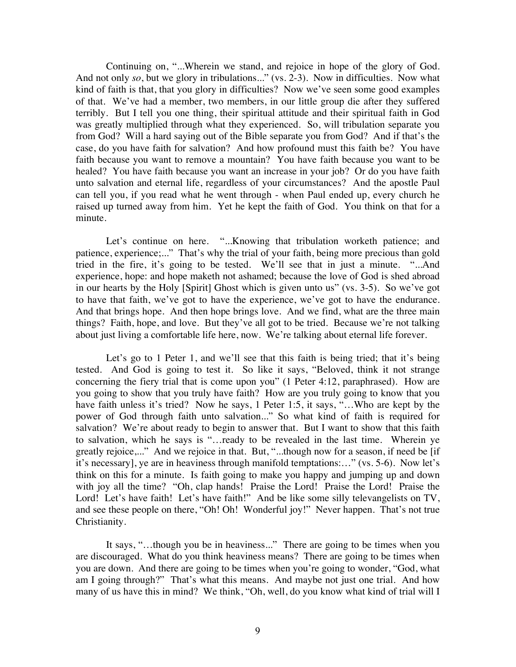Continuing on, "...Wherein we stand, and rejoice in hope of the glory of God. And not only *so*, but we glory in tribulations..." (vs. 2-3). Now in difficulties. Now what kind of faith is that, that you glory in difficulties? Now we've seen some good examples of that. We've had a member, two members, in our little group die after they suffered terribly. But I tell you one thing, their spiritual attitude and their spiritual faith in God was greatly multiplied through what they experienced. So, will tribulation separate you from God? Will a hard saying out of the Bible separate you from God? And if that's the case, do you have faith for salvation? And how profound must this faith be? You have faith because you want to remove a mountain? You have faith because you want to be healed? You have faith because you want an increase in your job? Or do you have faith unto salvation and eternal life, regardless of your circumstances? And the apostle Paul can tell you, if you read what he went through - when Paul ended up, every church he raised up turned away from him. Yet he kept the faith of God. You think on that for a minute.

Let's continue on here. "...Knowing that tribulation worketh patience; and patience, experience;..." That's why the trial of your faith, being more precious than gold tried in the fire, it's going to be tested. We'll see that in just a minute. "...And experience, hope: and hope maketh not ashamed; because the love of God is shed abroad in our hearts by the Holy [Spirit] Ghost which is given unto us" (vs. 3-5). So we've got to have that faith, we've got to have the experience, we've got to have the endurance. And that brings hope. And then hope brings love. And we find, what are the three main things? Faith, hope, and love. But they've all got to be tried. Because we're not talking about just living a comfortable life here, now. We're talking about eternal life forever.

Let's go to 1 Peter 1, and we'll see that this faith is being tried; that it's being tested. And God is going to test it. So like it says, "Beloved, think it not strange concerning the fiery trial that is come upon you" (1 Peter 4:12, paraphrased). How are you going to show that you truly have faith? How are you truly going to know that you have faith unless it's tried? Now he says, 1 Peter 1:5, it says, "...Who are kept by the power of God through faith unto salvation..." So what kind of faith is required for salvation? We're about ready to begin to answer that. But I want to show that this faith to salvation, which he says is "…ready to be revealed in the last time. Wherein ye greatly rejoice,..." And we rejoice in that. But, "...though now for a season, if need be [if it's necessary], ye are in heaviness through manifold temptations:…" (vs. 5-6). Now let's think on this for a minute. Is faith going to make you happy and jumping up and down with joy all the time? "Oh, clap hands! Praise the Lord! Praise the Lord! Praise the Lord! Let's have faith! Let's have faith!" And be like some silly televangelists on TV, and see these people on there, "Oh! Oh! Wonderful joy!" Never happen. That's not true Christianity.

It says, "…though you be in heaviness..." There are going to be times when you are discouraged. What do you think heaviness means? There are going to be times when you are down. And there are going to be times when you're going to wonder, "God, what am I going through?" That's what this means. And maybe not just one trial. And how many of us have this in mind? We think, "Oh, well, do you know what kind of trial will I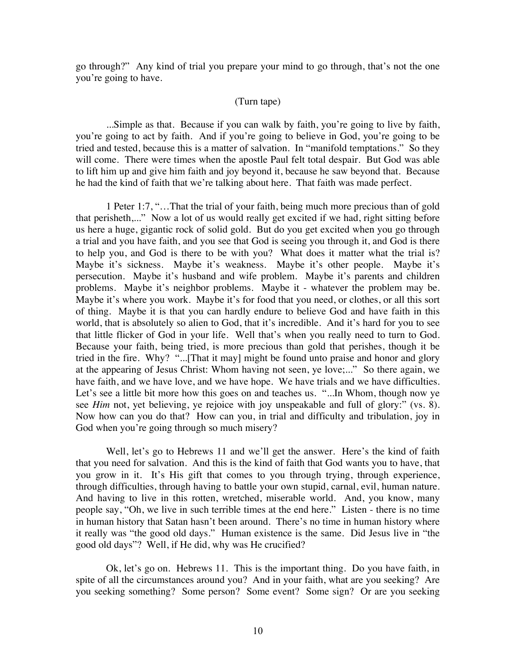go through?" Any kind of trial you prepare your mind to go through, that's not the one you're going to have.

## (Turn tape)

...Simple as that. Because if you can walk by faith, you're going to live by faith, you're going to act by faith. And if you're going to believe in God, you're going to be tried and tested, because this is a matter of salvation. In "manifold temptations." So they will come. There were times when the apostle Paul felt total despair. But God was able to lift him up and give him faith and joy beyond it, because he saw beyond that. Because he had the kind of faith that we're talking about here. That faith was made perfect.

1 Peter 1:7, "…That the trial of your faith, being much more precious than of gold that perisheth,..." Now a lot of us would really get excited if we had, right sitting before us here a huge, gigantic rock of solid gold. But do you get excited when you go through a trial and you have faith, and you see that God is seeing you through it, and God is there to help you, and God is there to be with you? What does it matter what the trial is? Maybe it's sickness. Maybe it's weakness. Maybe it's other people. Maybe it's persecution. Maybe it's husband and wife problem. Maybe it's parents and children problems. Maybe it's neighbor problems. Maybe it - whatever the problem may be. Maybe it's where you work. Maybe it's for food that you need, or clothes, or all this sort of thing. Maybe it is that you can hardly endure to believe God and have faith in this world, that is absolutely so alien to God, that it's incredible. And it's hard for you to see that little flicker of God in your life. Well that's when you really need to turn to God. Because your faith, being tried, is more precious than gold that perishes, though it be tried in the fire. Why? "...[That it may] might be found unto praise and honor and glory at the appearing of Jesus Christ: Whom having not seen, ye love;..." So there again, we have faith, and we have love, and we have hope. We have trials and we have difficulties. Let's see a little bit more how this goes on and teaches us. "...In Whom, though now ye see *Him* not, yet believing, ye rejoice with joy unspeakable and full of glory:" (vs. 8). Now how can you do that? How can you, in trial and difficulty and tribulation, joy in God when you're going through so much misery?

Well, let's go to Hebrews 11 and we'll get the answer. Here's the kind of faith that you need for salvation. And this is the kind of faith that God wants you to have, that you grow in it. It's His gift that comes to you through trying, through experience, through difficulties, through having to battle your own stupid, carnal, evil, human nature. And having to live in this rotten, wretched, miserable world. And, you know, many people say, "Oh, we live in such terrible times at the end here." Listen - there is no time in human history that Satan hasn't been around. There's no time in human history where it really was "the good old days." Human existence is the same. Did Jesus live in "the good old days"? Well, if He did, why was He crucified?

Ok, let's go on. Hebrews 11. This is the important thing. Do you have faith, in spite of all the circumstances around you? And in your faith, what are you seeking? Are you seeking something? Some person? Some event? Some sign? Or are you seeking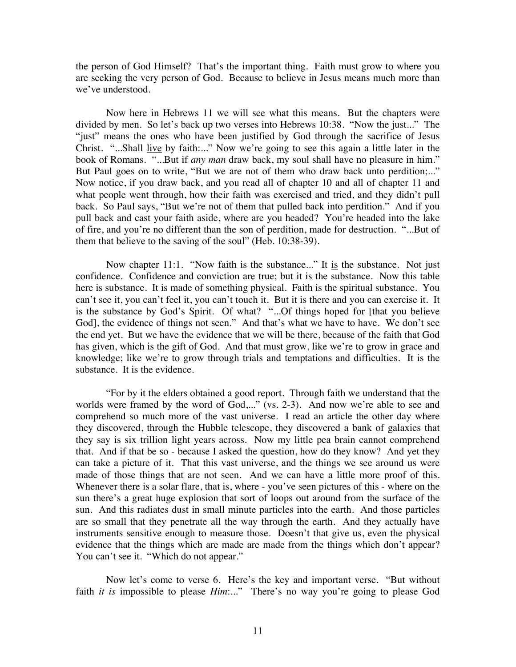the person of God Himself? That's the important thing. Faith must grow to where you are seeking the very person of God. Because to believe in Jesus means much more than we've understood.

Now here in Hebrews 11 we will see what this means. But the chapters were divided by men. So let's back up two verses into Hebrews 10:38. "Now the just..." The "just" means the ones who have been justified by God through the sacrifice of Jesus Christ. "...Shall live by faith:..." Now we're going to see this again a little later in the book of Romans. "...But if *any man* draw back, my soul shall have no pleasure in him." But Paul goes on to write, "But we are not of them who draw back unto perdition;..." Now notice, if you draw back, and you read all of chapter 10 and all of chapter 11 and what people went through, how their faith was exercised and tried, and they didn't pull back. So Paul says, "But we're not of them that pulled back into perdition." And if you pull back and cast your faith aside, where are you headed? You're headed into the lake of fire, and you're no different than the son of perdition, made for destruction. "...But of them that believe to the saving of the soul" (Heb. 10:38-39).

Now chapter 11:1. "Now faith is the substance..." It is the substance. Not just confidence. Confidence and conviction are true; but it is the substance. Now this table here is substance. It is made of something physical. Faith is the spiritual substance. You can't see it, you can't feel it, you can't touch it. But it is there and you can exercise it. It is the substance by God's Spirit. Of what? "...Of things hoped for [that you believe God], the evidence of things not seen." And that's what we have to have. We don't see the end yet. But we have the evidence that we will be there, because of the faith that God has given, which is the gift of God. And that must grow, like we're to grow in grace and knowledge; like we're to grow through trials and temptations and difficulties. It is the substance. It is the evidence.

"For by it the elders obtained a good report. Through faith we understand that the worlds were framed by the word of God,..." (vs. 2-3). And now we're able to see and comprehend so much more of the vast universe. I read an article the other day where they discovered, through the Hubble telescope, they discovered a bank of galaxies that they say is six trillion light years across. Now my little pea brain cannot comprehend that. And if that be so - because I asked the question, how do they know? And yet they can take a picture of it. That this vast universe, and the things we see around us were made of those things that are not seen. And we can have a little more proof of this. Whenever there is a solar flare, that is, where - you've seen pictures of this - where on the sun there's a great huge explosion that sort of loops out around from the surface of the sun. And this radiates dust in small minute particles into the earth. And those particles are so small that they penetrate all the way through the earth. And they actually have instruments sensitive enough to measure those. Doesn't that give us, even the physical evidence that the things which are made are made from the things which don't appear? You can't see it. "Which do not appear."

Now let's come to verse 6. Here's the key and important verse. "But without faith *it is* impossible to please *Him*:..." There's no way you're going to please God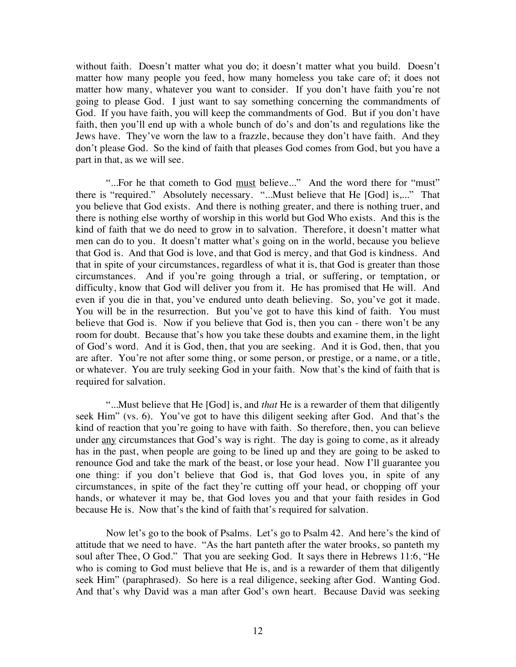without faith. Doesn't matter what you do; it doesn't matter what you build. Doesn't matter how many people you feed, how many homeless you take care of; it does not matter how many, whatever you want to consider. If you don't have faith you're not going to please God. I just want to say something concerning the commandments of God. If you have faith, you will keep the commandments of God. But if you don't have faith, then you'll end up with a whole bunch of do's and don'ts and regulations like the Jews have. They've worn the law to a frazzle, because they don't have faith. And they don't please God. So the kind of faith that pleases God comes from God, but you have a part in that, as we will see.

"...For he that cometh to God must believe..." And the word there for "must" there is "required." Absolutely necessary. "...Must believe that He [God] is,..." That you believe that God exists. And there is nothing greater, and there is nothing truer, and there is nothing else worthy of worship in this world but God Who exists. And this is the kind of faith that we do need to grow in to salvation. Therefore, it doesn't matter what men can do to you. It doesn't matter what's going on in the world, because you believe that God is. And that God is love, and that God is mercy, and that God is kindness. And that in spite of your circumstances, regardless of what it is, that God is greater than those circumstances. And if you're going through a trial, or suffering, or temptation, or difficulty, know that God will deliver you from it. He has promised that He will. And even if you die in that, you've endured unto death believing. So, you've got it made. You will be in the resurrection. But you've got to have this kind of faith. You must believe that God is. Now if you believe that God is, then you can - there won't be any room for doubt. Because that's how you take these doubts and examine them, in the light of God's word. And it is God, then, that you are seeking. And it is God, then, that you are after. You're not after some thing, or some person, or prestige, or a name, or a title, or whatever. You are truly seeking God in your faith. Now that's the kind of faith that is required for salvation.

"...Must believe that He [God] is, and *that* He is a rewarder of them that diligently seek Him" (vs. 6). You've got to have this diligent seeking after God. And that's the kind of reaction that you're going to have with faith. So therefore, then, you can believe under any circumstances that God's way is right. The day is going to come, as it already has in the past, when people are going to be lined up and they are going to be asked to renounce God and take the mark of the beast, or lose your head. Now I'll guarantee you one thing: if you don't believe that God is, that God loves you, in spite of any circumstances, in spite of the fact they're cutting off your head, or chopping off your hands, or whatever it may be, that God loves you and that your faith resides in God because He is. Now that's the kind of faith that's required for salvation.

Now let's go to the book of Psalms. Let's go to Psalm 42. And here's the kind of attitude that we need to have. "As the hart panteth after the water brooks, so panteth my soul after Thee, O God." That you are seeking God. It says there in Hebrews 11:6, "He who is coming to God must believe that He is, and is a rewarder of them that diligently seek Him" (paraphrased). So here is a real diligence, seeking after God. Wanting God. And that's why David was a man after God's own heart. Because David was seeking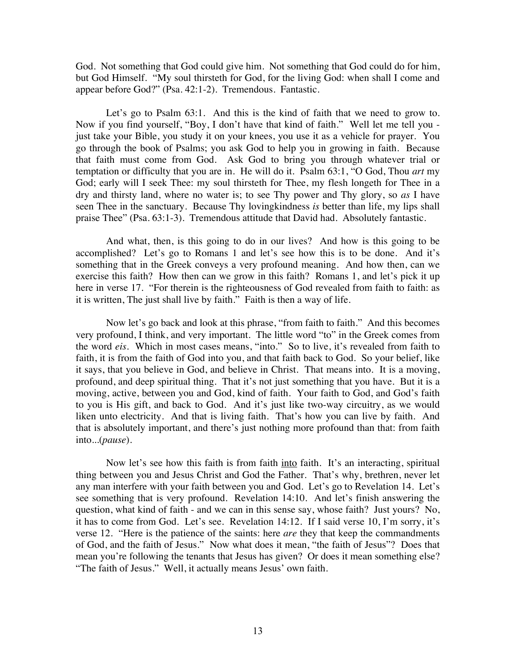God. Not something that God could give him. Not something that God could do for him, but God Himself. "My soul thirsteth for God, for the living God: when shall I come and appear before God?" (Psa. 42:1-2). Tremendous. Fantastic.

Let's go to Psalm  $63:1$ . And this is the kind of faith that we need to grow to. Now if you find yourself, "Boy, I don't have that kind of faith." Well let me tell you just take your Bible, you study it on your knees, you use it as a vehicle for prayer. You go through the book of Psalms; you ask God to help you in growing in faith. Because that faith must come from God. Ask God to bring you through whatever trial or temptation or difficulty that you are in. He will do it. Psalm 63:1, "O God, Thou *art* my God; early will I seek Thee: my soul thirsteth for Thee, my flesh longeth for Thee in a dry and thirsty land, where no water is; to see Thy power and Thy glory, so *as* I have seen Thee in the sanctuary. Because Thy lovingkindness *is* better than life, my lips shall praise Thee" (Psa. 63:1-3). Tremendous attitude that David had. Absolutely fantastic.

And what, then, is this going to do in our lives? And how is this going to be accomplished? Let's go to Romans 1 and let's see how this is to be done. And it's something that in the Greek conveys a very profound meaning. And how then, can we exercise this faith? How then can we grow in this faith? Romans 1, and let's pick it up here in verse 17. "For therein is the righteousness of God revealed from faith to faith: as it is written, The just shall live by faith." Faith is then a way of life.

Now let's go back and look at this phrase, "from faith to faith." And this becomes very profound, I think, and very important. The little word "to" in the Greek comes from the word *eis*. Which in most cases means, "into." So to live, it's revealed from faith to faith, it is from the faith of God into you, and that faith back to God. So your belief, like it says, that you believe in God, and believe in Christ. That means into. It is a moving, profound, and deep spiritual thing. That it's not just something that you have. But it is a moving, active, between you and God, kind of faith. Your faith to God, and God's faith to you is His gift, and back to God. And it's just like two-way circuitry, as we would liken unto electricity. And that is living faith. That's how you can live by faith. And that is absolutely important, and there's just nothing more profound than that: from faith into...(*pause*).

Now let's see how this faith is from faith into faith. It's an interacting, spiritual thing between you and Jesus Christ and God the Father. That's why, brethren, never let any man interfere with your faith between you and God. Let's go to Revelation 14. Let's see something that is very profound. Revelation 14:10. And let's finish answering the question, what kind of faith - and we can in this sense say, whose faith? Just yours? No, it has to come from God. Let's see. Revelation 14:12. If I said verse 10, I'm sorry, it's verse 12. "Here is the patience of the saints: here *are* they that keep the commandments of God, and the faith of Jesus." Now what does it mean, "the faith of Jesus"? Does that mean you're following the tenants that Jesus has given? Or does it mean something else? "The faith of Jesus." Well, it actually means Jesus' own faith.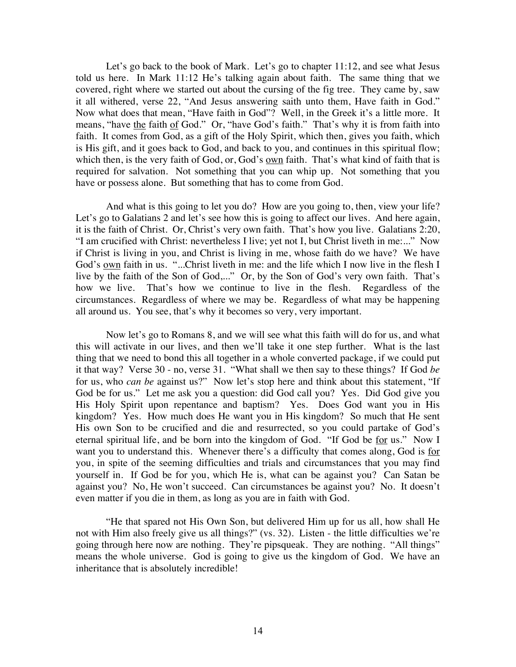Let's go back to the book of Mark. Let's go to chapter 11:12, and see what Jesus told us here. In Mark 11:12 He's talking again about faith. The same thing that we covered, right where we started out about the cursing of the fig tree. They came by, saw it all withered, verse 22, "And Jesus answering saith unto them, Have faith in God." Now what does that mean, "Have faith in God"? Well, in the Greek it's a little more. It means, "have the faith of God." Or, "have God's faith." That's why it is from faith into faith. It comes from God, as a gift of the Holy Spirit, which then, gives you faith, which is His gift, and it goes back to God, and back to you, and continues in this spiritual flow; which then, is the very faith of God, or, God's own faith. That's what kind of faith that is required for salvation. Not something that you can whip up. Not something that you have or possess alone. But something that has to come from God.

And what is this going to let you do? How are you going to, then, view your life? Let's go to Galatians 2 and let's see how this is going to affect our lives. And here again, it is the faith of Christ. Or, Christ's very own faith. That's how you live. Galatians 2:20, "I am crucified with Christ: nevertheless I live; yet not I, but Christ liveth in me:..." Now if Christ is living in you, and Christ is living in me, whose faith do we have? We have God's own faith in us. "...Christ liveth in me: and the life which I now live in the flesh I live by the faith of the Son of God,..." Or, by the Son of God's very own faith. That's how we live. That's how we continue to live in the flesh. Regardless of the circumstances. Regardless of where we may be. Regardless of what may be happening all around us. You see, that's why it becomes so very, very important.

Now let's go to Romans 8, and we will see what this faith will do for us, and what this will activate in our lives, and then we'll take it one step further. What is the last thing that we need to bond this all together in a whole converted package, if we could put it that way? Verse 30 - no, verse 31. "What shall we then say to these things? If God *be* for us, who *can be* against us?" Now let's stop here and think about this statement, "If God be for us." Let me ask you a question: did God call you? Yes. Did God give you His Holy Spirit upon repentance and baptism? Yes. Does God want you in His kingdom? Yes. How much does He want you in His kingdom? So much that He sent His own Son to be crucified and die and resurrected, so you could partake of God's eternal spiritual life, and be born into the kingdom of God. "If God be for us." Now I want you to understand this. Whenever there's a difficulty that comes along, God is for you, in spite of the seeming difficulties and trials and circumstances that you may find yourself in. If God be for you, which He is, what can be against you? Can Satan be against you? No, He won't succeed. Can circumstances be against you? No. It doesn't even matter if you die in them, as long as you are in faith with God.

"He that spared not His Own Son, but delivered Him up for us all, how shall He not with Him also freely give us all things?" (vs. 32). Listen - the little difficulties we're going through here now are nothing. They're pipsqueak. They are nothing. "All things" means the whole universe. God is going to give us the kingdom of God. We have an inheritance that is absolutely incredible!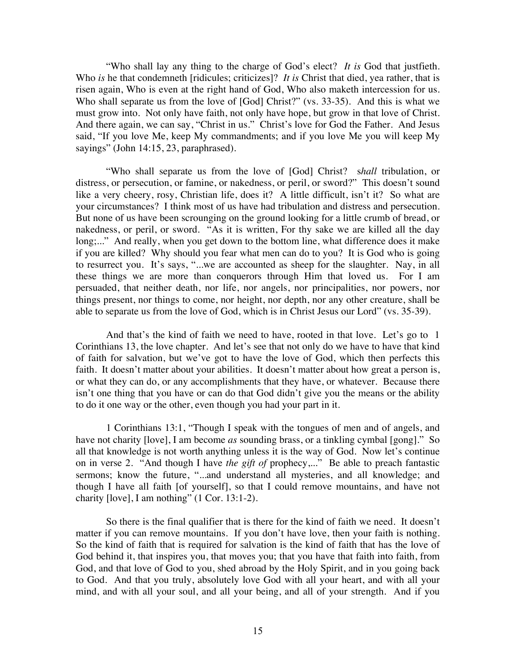"Who shall lay any thing to the charge of God's elect? *It is* God that justfieth. Who *is* he that condemneth [ridicules; criticizes]? *It is* Christ that died, yea rather, that is risen again, Who is even at the right hand of God, Who also maketh intercession for us. Who shall separate us from the love of [God] Christ?" (vs. 33-35). And this is what we must grow into. Not only have faith, not only have hope, but grow in that love of Christ. And there again, we can say, "Christ in us." Christ's love for God the Father. And Jesus said, "If you love Me, keep My commandments; and if you love Me you will keep My sayings" (John 14:15, 23, paraphrased).

"Who shall separate us from the love of [God] Christ? s*hall* tribulation, or distress, or persecution, or famine, or nakedness, or peril, or sword?" This doesn't sound like a very cheery, rosy, Christian life, does it? A little difficult, isn't it? So what are your circumstances? I think most of us have had tribulation and distress and persecution. But none of us have been scrounging on the ground looking for a little crumb of bread, or nakedness, or peril, or sword. "As it is written, For thy sake we are killed all the day long;..." And really, when you get down to the bottom line, what difference does it make if you are killed? Why should you fear what men can do to you? It is God who is going to resurrect you. It's says, "...we are accounted as sheep for the slaughter. Nay, in all these things we are more than conquerors through Him that loved us. For I am persuaded, that neither death, nor life, nor angels, nor principalities, nor powers, nor things present, nor things to come, nor height, nor depth, nor any other creature, shall be able to separate us from the love of God, which is in Christ Jesus our Lord" (vs. 35-39).

And that's the kind of faith we need to have, rooted in that love. Let's go to 1 Corinthians 13, the love chapter. And let's see that not only do we have to have that kind of faith for salvation, but we've got to have the love of God, which then perfects this faith. It doesn't matter about your abilities. It doesn't matter about how great a person is, or what they can do, or any accomplishments that they have, or whatever. Because there isn't one thing that you have or can do that God didn't give you the means or the ability to do it one way or the other, even though you had your part in it.

1 Corinthians 13:1, "Though I speak with the tongues of men and of angels, and have not charity [love], I am become *as* sounding brass, or a tinkling cymbal [gong]." So all that knowledge is not worth anything unless it is the way of God. Now let's continue on in verse 2. "And though I have *the gift of* prophecy,..." Be able to preach fantastic sermons; know the future, "...and understand all mysteries, and all knowledge; and though I have all faith [of yourself], so that I could remove mountains, and have not charity [love], I am nothing" (1 Cor. 13:1-2).

So there is the final qualifier that is there for the kind of faith we need. It doesn't matter if you can remove mountains. If you don't have love, then your faith is nothing. So the kind of faith that is required for salvation is the kind of faith that has the love of God behind it, that inspires you, that moves you; that you have that faith into faith, from God, and that love of God to you, shed abroad by the Holy Spirit, and in you going back to God. And that you truly, absolutely love God with all your heart, and with all your mind, and with all your soul, and all your being, and all of your strength. And if you